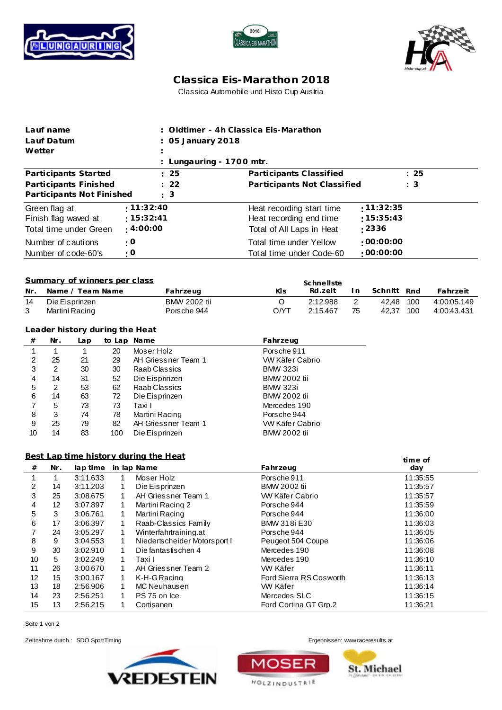





## **C lassica Eis-Marathon 2018** Classica Automobile und Histo Cup Austria

| Wetter                            | Lauf name<br>Lauf Datum                               |                                       |              |                              | : Oldtimer - 4h Classica Eis-Marathon<br>05 January 2018 |          |                                      |                       |                |             |                |             |
|-----------------------------------|-------------------------------------------------------|---------------------------------------|--------------|------------------------------|----------------------------------------------------------|----------|--------------------------------------|-----------------------|----------------|-------------|----------------|-------------|
|                                   |                                                       |                                       |              |                              | Lungauring - 1700 mtr.                                   |          |                                      |                       |                |             |                |             |
|                                   |                                                       | Participants Started                  |              |                              | 25                                                       |          | Participants Classified              |                       |                |             | : 25           |             |
|                                   |                                                       | Participants Finished                 |              |                              | 22                                                       |          | Participants Not Classified          |                       |                | : 3         |                |             |
|                                   |                                                       | Participants Not Finished             |              |                              | 3                                                        |          |                                      |                       |                |             |                |             |
| $\cdot$ 11:32:40<br>Green flag at |                                                       |                                       |              |                              |                                                          |          | Heat recording start time            |                       |                | :11:32:35   |                |             |
|                                   |                                                       | Finish flag waved at                  |              | : 15:32:41                   |                                                          |          | :15:35:43<br>Heat recording end time |                       |                |             |                |             |
|                                   |                                                       | Total time under Green                |              | $\pm 4:00:00$                |                                                          |          | : 2336<br>Total of All Laps in Heat  |                       |                |             |                |             |
|                                   |                                                       | Number of cautions                    |              | $\cdot$ O                    |                                                          |          | Total time under Yellow              |                       |                | :00:00:00   |                |             |
|                                   |                                                       | Number of code-60's                   |              | : 0                          |                                                          |          | Total time under Code-60             |                       |                | :00:00:00   |                |             |
|                                   |                                                       |                                       |              |                              |                                                          |          |                                      |                       |                |             |                |             |
|                                   |                                                       | Summary of winners per class          |              |                              |                                                          |          |                                      | Schnellste            |                |             |                |             |
| Nr.                               |                                                       | Name / Team Name                      |              |                              | Fahrzeug                                                 |          | Kls                                  | Rd.zeit               | I n            | Schnitt Rnd |                | Fahrzeit    |
| 14                                |                                                       | Die Eisprinzen                        |              |                              | <b>BMW 2002 tii</b>                                      |          | O                                    | 2:12.988              | $\overline{2}$ | 42,48       | 100            | 4:00:05.149 |
| 3                                 |                                                       | Martini Racing                        |              |                              | Porsche 944                                              |          | O/YT                                 | 2:15.467              | 75             | 42,37 100   |                | 4:00:43.431 |
|                                   |                                                       | Leader history during the Heat        |              |                              |                                                          |          |                                      |                       |                |             |                |             |
| $\#$                              | Nr.                                                   | Lap                                   |              | to Lap Name                  |                                                          |          | Fahrzeug                             |                       |                |             |                |             |
| 1                                 | $\mathbf{1}$                                          | 1                                     | 20           | Moser Holz                   |                                                          |          | Porsche 911                          |                       |                |             |                |             |
| 2                                 | 25                                                    | 21                                    | 29           |                              | AH Griessner Team 1                                      |          | W Käfer Cabrio                       |                       |                |             |                |             |
| 3                                 | 2                                                     | 30                                    | 30           | Raab Classics                |                                                          |          | <b>BMW 323i</b>                      |                       |                |             |                |             |
| 4                                 | 14                                                    | 31                                    | 52           | Die Eisprinzen               |                                                          |          | <b>BMW 2002 tii</b>                  |                       |                |             |                |             |
| 5                                 | 2                                                     | 53                                    | 62           | Raab Classics                |                                                          |          | <b>BMW 323i</b>                      |                       |                |             |                |             |
| 6                                 | 14                                                    | 63                                    | 72           | Die Eisprinzen               |                                                          |          | <b>BMW 2002 tii</b>                  |                       |                |             |                |             |
| $\overline{7}$                    | 5                                                     | 73                                    | 73           | Taxi I                       |                                                          |          | Mercedes 190                         |                       |                |             |                |             |
| 8                                 | $\mathbf{3}$                                          | 74                                    | 78           | Martini Racing               |                                                          |          | Porsche 944                          |                       |                |             |                |             |
| 9                                 | 25                                                    | 79                                    | 82           |                              | AH Griessner Team 1                                      |          | W Käfer Cabrio                       |                       |                |             |                |             |
| 10                                | 14                                                    | 83                                    | 100          | Die Eisprinzen               |                                                          |          | <b>BMW 2002 tii</b>                  |                       |                |             |                |             |
|                                   |                                                       | Best Lap time history during the Heat |              |                              |                                                          |          |                                      |                       |                |             |                |             |
| #                                 | Nr.                                                   | lap time                              |              | in lap Name                  |                                                          |          | Fahrzeug                             |                       |                |             | time of<br>day |             |
| 1                                 | $\mathbf{1}$                                          | 3:11.633                              | 1            | Moser Holz                   |                                                          |          | Porsche 911                          |                       |                |             | 11:35:55       |             |
| 2                                 | 14                                                    | 3:11.203                              | 1            | Die Eisprinzen               |                                                          |          | <b>BMW 2002 tii</b>                  |                       |                |             | 11:35:57       |             |
| 3                                 | 25                                                    | 3:08.675                              | $\mathbf{1}$ |                              | AH Griessner Team 1                                      |          | <b>W Käfer Cabrio</b>                |                       |                |             | 11:35:57       |             |
| 4                                 | 12                                                    | 3:07.897                              | 1            | Martini Racing 2             |                                                          |          | Porsche 944                          |                       |                |             | 11:35:59       |             |
| 5                                 | 3                                                     | 3:06.761                              | 1            | Martini Racing               |                                                          |          | Porsche 944                          |                       |                | 11:36:00    |                |             |
| 6                                 | 17                                                    | 3:06.397                              | 1            | Raab-Classics Family         |                                                          |          | BMW 318i E30                         |                       |                |             | 11:36:03       |             |
| 7                                 | 24                                                    | 3:05.297                              | 1            | Winterfahrtraining.at        |                                                          |          | Porsche 944                          |                       |                | 11:36:05    |                |             |
| 8                                 | 9                                                     | 3:04.553                              | 1            | Niedertscheider Motorsport I |                                                          |          | Peugeot 504 Coupe                    |                       |                | 11:36:06    |                |             |
| 9                                 | 30<br>Die fantastischen 4<br>3:02.910<br>$\mathbf{1}$ |                                       |              | Mercedes 190                 |                                                          |          | 11:36:08                             |                       |                |             |                |             |
| 10                                | 3:02.249<br>5<br>$\mathbf{1}$<br>Taxi I               |                                       | Mercedes 190 |                              |                                                          | 11:36:10 |                                      |                       |                |             |                |             |
| 11                                | 26                                                    | 3:00.670                              | 1            |                              | AH Griessner Team 2                                      |          | W Käfer                              |                       |                |             | 11:36:11       |             |
| 12                                | 15<br>K-H-G Racing<br>3:00.167<br>1                   |                                       |              | Ford Sierra RS Cosworth      |                                                          |          | 11:36:13                             |                       |                |             |                |             |
| 13                                | 18                                                    | 2:56.906                              | 1            | MC Neuhausen                 |                                                          |          | WW Käfer                             |                       |                |             | 11:36:14       |             |
| 14                                | 23                                                    | 2:56.251                              | $\mathbf{1}$ | PS 75 on Ice                 |                                                          |          | Mercedes SLC                         |                       |                |             | 11:36:15       |             |
| 15                                | 13                                                    | 2:56.215                              | $\mathbf{1}$ | Cortisanen                   |                                                          |          |                                      | Ford Cortina GT Grp.2 |                |             | 11:36:21       |             |

Seite 1 von 2

Zeitnahme durch : SDO SportTiming entertainment of the state of the state of the state of the Ergebnissen: [www.raceresults.a](www.raceresults.at)t





**HOLZINDUSTRIE** 

**St. Michael**